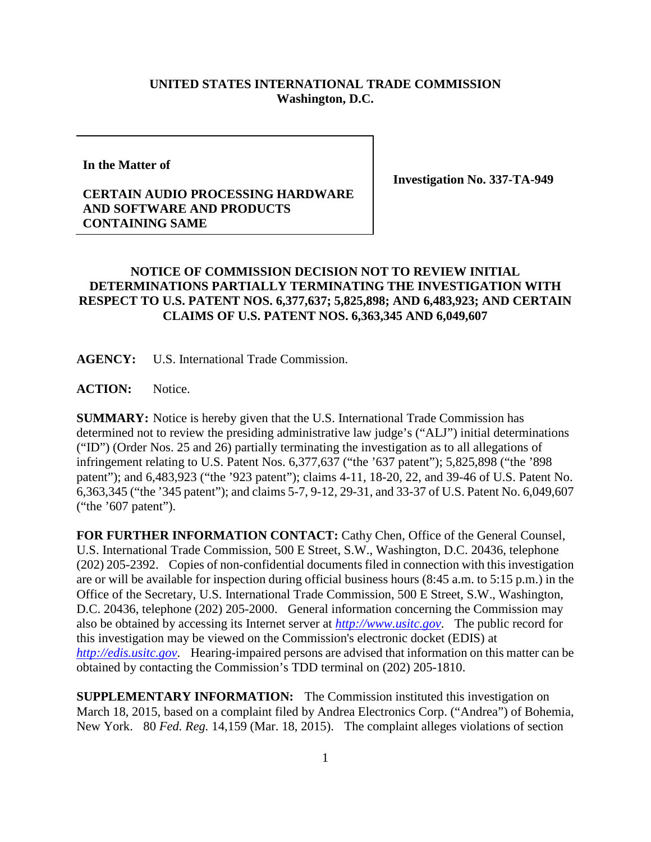## **UNITED STATES INTERNATIONAL TRADE COMMISSION Washington, D.C.**

**In the Matter of**

**Investigation No. 337-TA-949**

## **CERTAIN AUDIO PROCESSING HARDWARE AND SOFTWARE AND PRODUCTS CONTAINING SAME**

## **NOTICE OF COMMISSION DECISION NOT TO REVIEW INITIAL DETERMINATIONS PARTIALLY TERMINATING THE INVESTIGATION WITH RESPECT TO U.S. PATENT NOS. 6,377,637; 5,825,898; AND 6,483,923; AND CERTAIN CLAIMS OF U.S. PATENT NOS. 6,363,345 AND 6,049,607**

**AGENCY:** U.S. International Trade Commission.

**ACTION:** Notice.

**SUMMARY:** Notice is hereby given that the U.S. International Trade Commission has determined not to review the presiding administrative law judge's ("ALJ") initial determinations ("ID") (Order Nos. 25 and 26) partially terminating the investigation as to all allegations of infringement relating to U.S. Patent Nos. 6,377,637 ("the '637 patent"); 5,825,898 ("the '898 patent"); and 6,483,923 ("the '923 patent"); claims 4-11, 18-20, 22, and 39-46 of U.S. Patent No. 6,363,345 ("the '345 patent"); and claims 5-7, 9-12, 29-31, and 33-37 of U.S. Patent No. 6,049,607 ("the '607 patent").

**FOR FURTHER INFORMATION CONTACT:** Cathy Chen, Office of the General Counsel, U.S. International Trade Commission, 500 E Street, S.W., Washington, D.C. 20436, telephone (202) 205-2392. Copies of non-confidential documents filed in connection with this investigation are or will be available for inspection during official business hours (8:45 a.m. to 5:15 p.m.) in the Office of the Secretary, U.S. International Trade Commission, 500 E Street, S.W., Washington, D.C. 20436, telephone (202) 205-2000. General information concerning the Commission may also be obtained by accessing its Internet server at *[http://www.usitc.gov](http://www.usitc.gov/)*. The public record for this investigation may be viewed on the Commission's electronic docket (EDIS) at *[http://edis.usitc.gov](http://edis.usitc.gov/)*. Hearing-impaired persons are advised that information on this matter can be obtained by contacting the Commission's TDD terminal on (202) 205-1810.

**SUPPLEMENTARY INFORMATION:** The Commission instituted this investigation on March 18, 2015, based on a complaint filed by Andrea Electronics Corp. ("Andrea") of Bohemia, New York. 80 *Fed. Reg.* 14,159 (Mar. 18, 2015). The complaint alleges violations of section